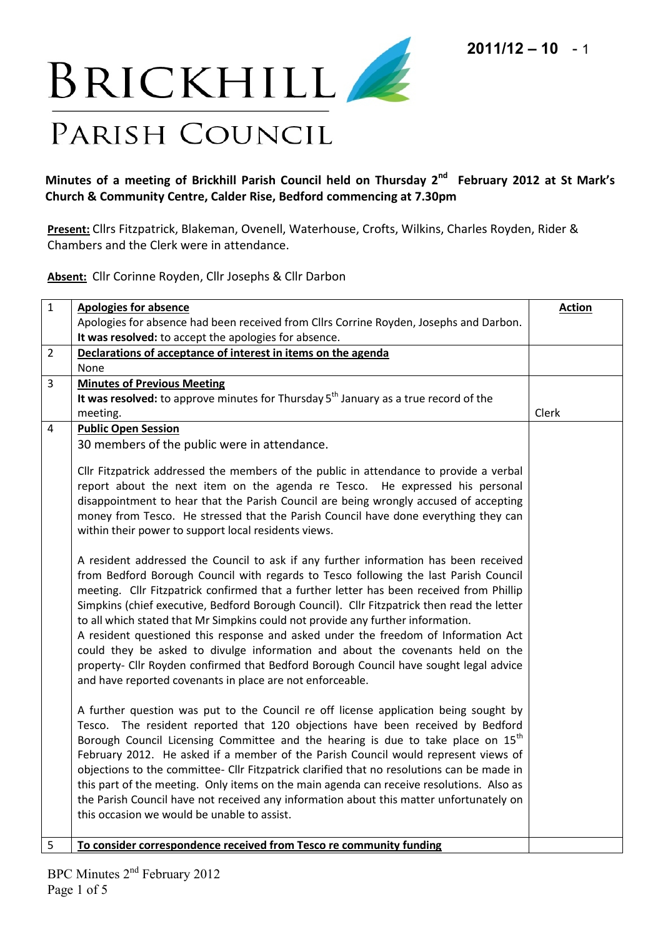

## **Minutes of a meeting of Brickhill Parish Council held on Thursday 2 nd February 2012 at St Mark's Church & Community Centre, Calder Rise, Bedford commencing at 7.30pm**

**Present:** Cllrs Fitzpatrick, Blakeman, Ovenell, Waterhouse, Crofts, Wilkins, Charles Royden, Rider & Chambers and the Clerk were in attendance.

**Absent:** Cllr Corinne Royden, Cllr Josephs & Cllr Darbon

| $\mathbf{1}$   | <b>Apologies for absence</b>                                                                                                                                                                                                                                                                                                                                                                                                                                                                                                                                                                                                                                                                                                                                                            | <b>Action</b> |
|----------------|-----------------------------------------------------------------------------------------------------------------------------------------------------------------------------------------------------------------------------------------------------------------------------------------------------------------------------------------------------------------------------------------------------------------------------------------------------------------------------------------------------------------------------------------------------------------------------------------------------------------------------------------------------------------------------------------------------------------------------------------------------------------------------------------|---------------|
|                | Apologies for absence had been received from Cllrs Corrine Royden, Josephs and Darbon.                                                                                                                                                                                                                                                                                                                                                                                                                                                                                                                                                                                                                                                                                                  |               |
| $\overline{2}$ | It was resolved: to accept the apologies for absence.<br>Declarations of acceptance of interest in items on the agenda                                                                                                                                                                                                                                                                                                                                                                                                                                                                                                                                                                                                                                                                  |               |
|                | None                                                                                                                                                                                                                                                                                                                                                                                                                                                                                                                                                                                                                                                                                                                                                                                    |               |
| 3              | <b>Minutes of Previous Meeting</b>                                                                                                                                                                                                                                                                                                                                                                                                                                                                                                                                                                                                                                                                                                                                                      |               |
|                | It was resolved: to approve minutes for Thursday 5 <sup>th</sup> January as a true record of the                                                                                                                                                                                                                                                                                                                                                                                                                                                                                                                                                                                                                                                                                        |               |
|                | meeting.                                                                                                                                                                                                                                                                                                                                                                                                                                                                                                                                                                                                                                                                                                                                                                                | Clerk         |
| 4              | <b>Public Open Session</b>                                                                                                                                                                                                                                                                                                                                                                                                                                                                                                                                                                                                                                                                                                                                                              |               |
|                | 30 members of the public were in attendance.                                                                                                                                                                                                                                                                                                                                                                                                                                                                                                                                                                                                                                                                                                                                            |               |
|                | Cllr Fitzpatrick addressed the members of the public in attendance to provide a verbal<br>report about the next item on the agenda re Tesco. He expressed his personal<br>disappointment to hear that the Parish Council are being wrongly accused of accepting<br>money from Tesco. He stressed that the Parish Council have done everything they can<br>within their power to support local residents views.                                                                                                                                                                                                                                                                                                                                                                          |               |
|                | A resident addressed the Council to ask if any further information has been received<br>from Bedford Borough Council with regards to Tesco following the last Parish Council<br>meeting. Cllr Fitzpatrick confirmed that a further letter has been received from Phillip<br>Simpkins (chief executive, Bedford Borough Council). Cllr Fitzpatrick then read the letter<br>to all which stated that Mr Simpkins could not provide any further information.<br>A resident questioned this response and asked under the freedom of Information Act<br>could they be asked to divulge information and about the covenants held on the<br>property- Cllr Royden confirmed that Bedford Borough Council have sought legal advice<br>and have reported covenants in place are not enforceable. |               |
|                | A further question was put to the Council re off license application being sought by<br>Tesco. The resident reported that 120 objections have been received by Bedford<br>Borough Council Licensing Committee and the hearing is due to take place on 15 <sup>th</sup><br>February 2012. He asked if a member of the Parish Council would represent views of<br>objections to the committee- Cllr Fitzpatrick clarified that no resolutions can be made in<br>this part of the meeting. Only items on the main agenda can receive resolutions. Also as<br>the Parish Council have not received any information about this matter unfortunately on<br>this occasion we would be unable to assist.                                                                                        |               |
| 5              | To consider correspondence received from Tesco re community funding                                                                                                                                                                                                                                                                                                                                                                                                                                                                                                                                                                                                                                                                                                                     |               |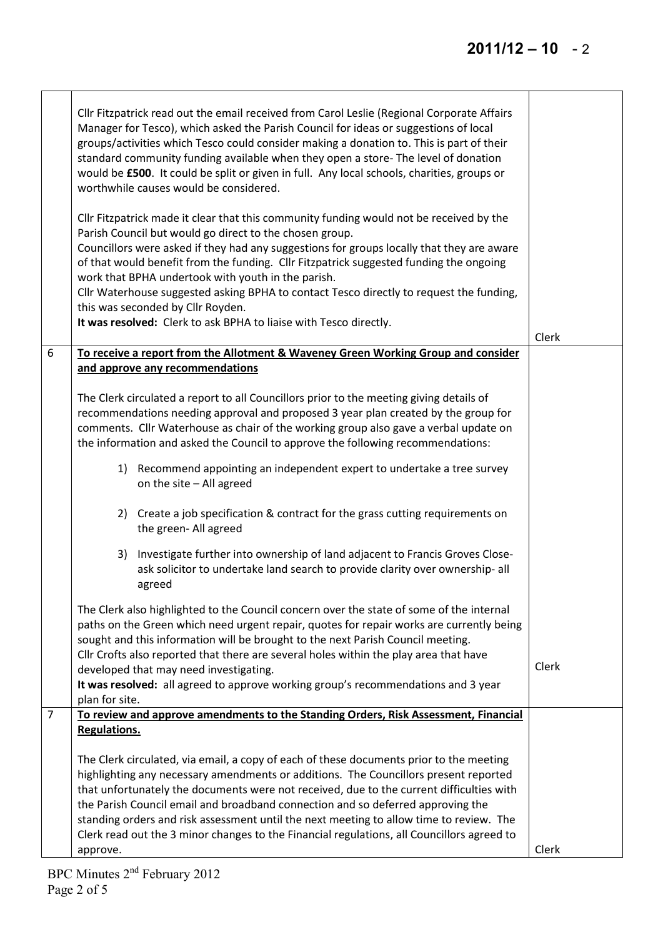|                | Cllr Fitzpatrick read out the email received from Carol Leslie (Regional Corporate Affairs<br>Manager for Tesco), which asked the Parish Council for ideas or suggestions of local<br>groups/activities which Tesco could consider making a donation to. This is part of their<br>standard community funding available when they open a store- The level of donation<br>would be £500. It could be split or given in full. Any local schools, charities, groups or<br>worthwhile causes would be considered.<br>Cllr Fitzpatrick made it clear that this community funding would not be received by the<br>Parish Council but would go direct to the chosen group.<br>Councillors were asked if they had any suggestions for groups locally that they are aware<br>of that would benefit from the funding. Cllr Fitzpatrick suggested funding the ongoing<br>work that BPHA undertook with youth in the parish.<br>Cllr Waterhouse suggested asking BPHA to contact Tesco directly to request the funding,<br>this was seconded by Cllr Royden.<br>It was resolved: Clerk to ask BPHA to liaise with Tesco directly. | Clerk |
|----------------|----------------------------------------------------------------------------------------------------------------------------------------------------------------------------------------------------------------------------------------------------------------------------------------------------------------------------------------------------------------------------------------------------------------------------------------------------------------------------------------------------------------------------------------------------------------------------------------------------------------------------------------------------------------------------------------------------------------------------------------------------------------------------------------------------------------------------------------------------------------------------------------------------------------------------------------------------------------------------------------------------------------------------------------------------------------------------------------------------------------------|-------|
| 6              | To receive a report from the Allotment & Waveney Green Working Group and consider                                                                                                                                                                                                                                                                                                                                                                                                                                                                                                                                                                                                                                                                                                                                                                                                                                                                                                                                                                                                                                    |       |
|                | and approve any recommendations                                                                                                                                                                                                                                                                                                                                                                                                                                                                                                                                                                                                                                                                                                                                                                                                                                                                                                                                                                                                                                                                                      |       |
|                | The Clerk circulated a report to all Councillors prior to the meeting giving details of<br>recommendations needing approval and proposed 3 year plan created by the group for<br>comments. Cllr Waterhouse as chair of the working group also gave a verbal update on<br>the information and asked the Council to approve the following recommendations:                                                                                                                                                                                                                                                                                                                                                                                                                                                                                                                                                                                                                                                                                                                                                             |       |
|                | Recommend appointing an independent expert to undertake a tree survey<br>1)<br>on the site - All agreed                                                                                                                                                                                                                                                                                                                                                                                                                                                                                                                                                                                                                                                                                                                                                                                                                                                                                                                                                                                                              |       |
|                | 2) Create a job specification & contract for the grass cutting requirements on<br>the green- All agreed                                                                                                                                                                                                                                                                                                                                                                                                                                                                                                                                                                                                                                                                                                                                                                                                                                                                                                                                                                                                              |       |
|                | Investigate further into ownership of land adjacent to Francis Groves Close-<br>3)<br>ask solicitor to undertake land search to provide clarity over ownership- all<br>agreed                                                                                                                                                                                                                                                                                                                                                                                                                                                                                                                                                                                                                                                                                                                                                                                                                                                                                                                                        |       |
|                | The Clerk also highlighted to the Council concern over the state of some of the internal<br>paths on the Green which need urgent repair, quotes for repair works are currently being<br>sought and this information will be brought to the next Parish Council meeting.                                                                                                                                                                                                                                                                                                                                                                                                                                                                                                                                                                                                                                                                                                                                                                                                                                              |       |
|                | Cllr Crofts also reported that there are several holes within the play area that have<br>developed that may need investigating.<br>It was resolved: all agreed to approve working group's recommendations and 3 year<br>plan for site.                                                                                                                                                                                                                                                                                                                                                                                                                                                                                                                                                                                                                                                                                                                                                                                                                                                                               | Clerk |
| $\overline{7}$ | To review and approve amendments to the Standing Orders, Risk Assessment, Financial                                                                                                                                                                                                                                                                                                                                                                                                                                                                                                                                                                                                                                                                                                                                                                                                                                                                                                                                                                                                                                  |       |
|                | <b>Regulations.</b>                                                                                                                                                                                                                                                                                                                                                                                                                                                                                                                                                                                                                                                                                                                                                                                                                                                                                                                                                                                                                                                                                                  |       |
|                | The Clerk circulated, via email, a copy of each of these documents prior to the meeting                                                                                                                                                                                                                                                                                                                                                                                                                                                                                                                                                                                                                                                                                                                                                                                                                                                                                                                                                                                                                              |       |
|                | highlighting any necessary amendments or additions. The Councillors present reported                                                                                                                                                                                                                                                                                                                                                                                                                                                                                                                                                                                                                                                                                                                                                                                                                                                                                                                                                                                                                                 |       |
|                | that unfortunately the documents were not received, due to the current difficulties with<br>the Parish Council email and broadband connection and so deferred approving the                                                                                                                                                                                                                                                                                                                                                                                                                                                                                                                                                                                                                                                                                                                                                                                                                                                                                                                                          |       |
|                | standing orders and risk assessment until the next meeting to allow time to review. The                                                                                                                                                                                                                                                                                                                                                                                                                                                                                                                                                                                                                                                                                                                                                                                                                                                                                                                                                                                                                              |       |
|                | Clerk read out the 3 minor changes to the Financial regulations, all Councillors agreed to                                                                                                                                                                                                                                                                                                                                                                                                                                                                                                                                                                                                                                                                                                                                                                                                                                                                                                                                                                                                                           |       |
|                | approve.                                                                                                                                                                                                                                                                                                                                                                                                                                                                                                                                                                                                                                                                                                                                                                                                                                                                                                                                                                                                                                                                                                             | Clerk |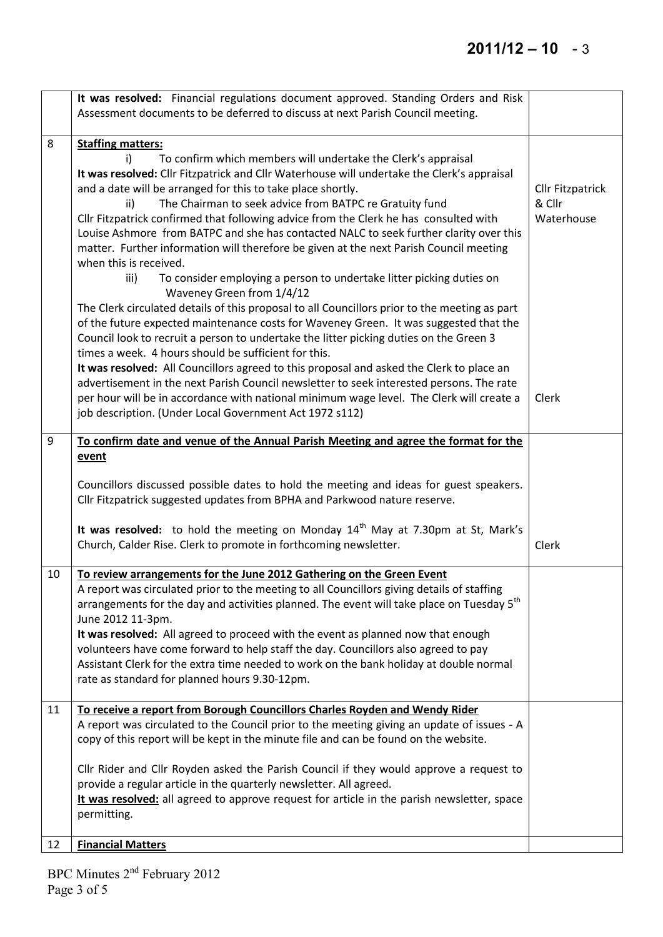## **2011/12 – 10** - 3

 $\overline{\phantom{a}}$ 

|    | It was resolved: Financial regulations document approved. Standing Orders and Risk<br>Assessment documents to be deferred to discuss at next Parish Council meeting. |                         |
|----|----------------------------------------------------------------------------------------------------------------------------------------------------------------------|-------------------------|
| 8  | <b>Staffing matters:</b><br>i)<br>To confirm which members will undertake the Clerk's appraisal                                                                      |                         |
|    | It was resolved: Cllr Fitzpatrick and Cllr Waterhouse will undertake the Clerk's appraisal                                                                           |                         |
|    | and a date will be arranged for this to take place shortly.                                                                                                          | <b>Cllr Fitzpatrick</b> |
|    | The Chairman to seek advice from BATPC re Gratuity fund<br>ii)<br>Cllr Fitzpatrick confirmed that following advice from the Clerk he has consulted with              | & Cllr<br>Waterhouse    |
|    | Louise Ashmore from BATPC and she has contacted NALC to seek further clarity over this                                                                               |                         |
|    | matter. Further information will therefore be given at the next Parish Council meeting                                                                               |                         |
|    | when this is received.                                                                                                                                               |                         |
|    | To consider employing a person to undertake litter picking duties on<br>iii)<br>Waveney Green from 1/4/12                                                            |                         |
|    | The Clerk circulated details of this proposal to all Councillors prior to the meeting as part                                                                        |                         |
|    | of the future expected maintenance costs for Waveney Green. It was suggested that the                                                                                |                         |
|    | Council look to recruit a person to undertake the litter picking duties on the Green 3<br>times a week. 4 hours should be sufficient for this.                       |                         |
|    | It was resolved: All Councillors agreed to this proposal and asked the Clerk to place an                                                                             |                         |
|    | advertisement in the next Parish Council newsletter to seek interested persons. The rate                                                                             |                         |
|    | per hour will be in accordance with national minimum wage level. The Clerk will create a                                                                             | Clerk                   |
|    | job description. (Under Local Government Act 1972 s112)                                                                                                              |                         |
| 9  | To confirm date and venue of the Annual Parish Meeting and agree the format for the                                                                                  |                         |
|    | event                                                                                                                                                                |                         |
|    | Councillors discussed possible dates to hold the meeting and ideas for guest speakers.<br>Cllr Fitzpatrick suggested updates from BPHA and Parkwood nature reserve.  |                         |
|    | It was resolved: to hold the meeting on Monday $14th$ May at 7.30pm at St, Mark's<br>Church, Calder Rise. Clerk to promote in forthcoming newsletter.                | Clerk                   |
| 10 | To review arrangements for the June 2012 Gathering on the Green Event                                                                                                |                         |
|    | A report was circulated prior to the meeting to all Councillors giving details of staffing                                                                           |                         |
|    | arrangements for the day and activities planned. The event will take place on Tuesday 5 <sup>th</sup>                                                                |                         |
|    | June 2012 11-3pm.<br>It was resolved: All agreed to proceed with the event as planned now that enough                                                                |                         |
|    | volunteers have come forward to help staff the day. Councillors also agreed to pay                                                                                   |                         |
|    | Assistant Clerk for the extra time needed to work on the bank holiday at double normal                                                                               |                         |
|    | rate as standard for planned hours 9.30-12pm.                                                                                                                        |                         |
| 11 | To receive a report from Borough Councillors Charles Royden and Wendy Rider                                                                                          |                         |
|    | A report was circulated to the Council prior to the meeting giving an update of issues - A                                                                           |                         |
|    | copy of this report will be kept in the minute file and can be found on the website.                                                                                 |                         |
|    | Cllr Rider and Cllr Royden asked the Parish Council if they would approve a request to                                                                               |                         |
|    | provide a regular article in the quarterly newsletter. All agreed.                                                                                                   |                         |
|    | It was resolved: all agreed to approve request for article in the parish newsletter, space<br>permitting.                                                            |                         |
| 12 | <b>Financial Matters</b>                                                                                                                                             |                         |
|    |                                                                                                                                                                      |                         |

BPC Minutes 2<sup>nd</sup> February 2012 Page 3 of 5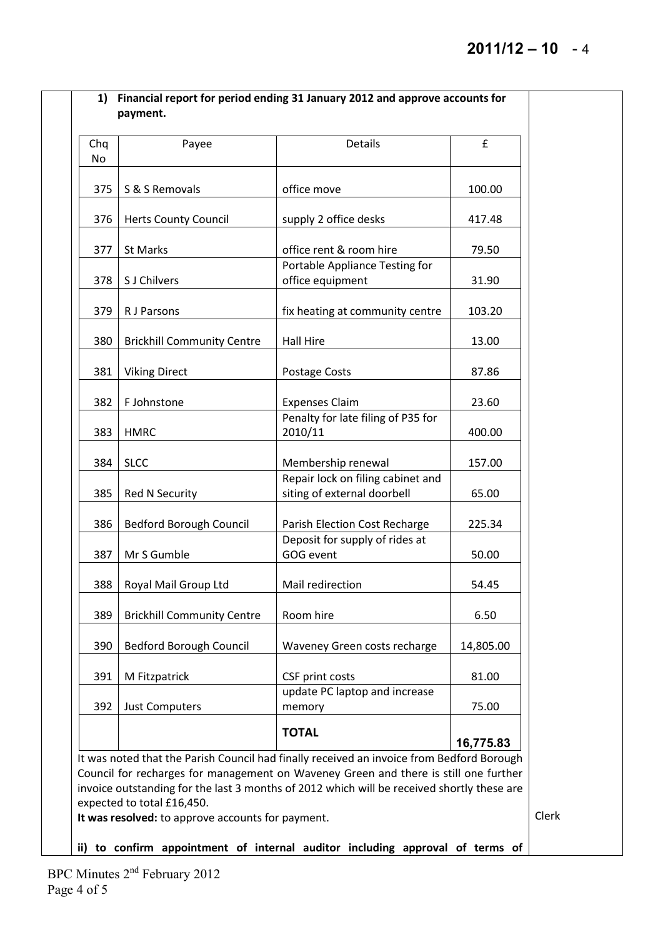| 375<br>S & S Removals<br>376<br><b>Herts County Council</b><br>377<br>St Marks                                                                                                                                                                                                                                | office move                                                      |           |  |  |  |
|---------------------------------------------------------------------------------------------------------------------------------------------------------------------------------------------------------------------------------------------------------------------------------------------------------------|------------------------------------------------------------------|-----------|--|--|--|
|                                                                                                                                                                                                                                                                                                               |                                                                  | 100.00    |  |  |  |
|                                                                                                                                                                                                                                                                                                               | supply 2 office desks                                            | 417.48    |  |  |  |
|                                                                                                                                                                                                                                                                                                               | office rent & room hire                                          | 79.50     |  |  |  |
| S J Chilvers<br>378                                                                                                                                                                                                                                                                                           | Portable Appliance Testing for<br>office equipment               | 31.90     |  |  |  |
| 379<br>R J Parsons                                                                                                                                                                                                                                                                                            | fix heating at community centre                                  | 103.20    |  |  |  |
| 380<br><b>Brickhill Community Centre</b>                                                                                                                                                                                                                                                                      | Hall Hire                                                        | 13.00     |  |  |  |
| <b>Viking Direct</b><br>381                                                                                                                                                                                                                                                                                   | Postage Costs                                                    | 87.86     |  |  |  |
| 382<br>F Johnstone                                                                                                                                                                                                                                                                                            | <b>Expenses Claim</b>                                            | 23.60     |  |  |  |
| 383<br><b>HMRC</b>                                                                                                                                                                                                                                                                                            | Penalty for late filing of P35 for<br>2010/11                    | 400.00    |  |  |  |
| 384<br><b>SLCC</b>                                                                                                                                                                                                                                                                                            | Membership renewal                                               | 157.00    |  |  |  |
| 385<br><b>Red N Security</b>                                                                                                                                                                                                                                                                                  | Repair lock on filing cabinet and<br>siting of external doorbell | 65.00     |  |  |  |
| 386<br><b>Bedford Borough Council</b>                                                                                                                                                                                                                                                                         | Parish Election Cost Recharge                                    | 225.34    |  |  |  |
| Mr S Gumble<br>387                                                                                                                                                                                                                                                                                            | Deposit for supply of rides at<br>GOG event                      | 50.00     |  |  |  |
| 388<br>Royal Mail Group Ltd                                                                                                                                                                                                                                                                                   | Mail redirection                                                 | 54.45     |  |  |  |
| 389<br><b>Brickhill Community Centre</b>                                                                                                                                                                                                                                                                      | Room hire                                                        | 6.50      |  |  |  |
| <b>Bedford Borough Council</b><br>390                                                                                                                                                                                                                                                                         | Waveney Green costs recharge                                     | 14,805.00 |  |  |  |
| M Fitzpatrick<br>391                                                                                                                                                                                                                                                                                          | CSF print costs                                                  | 81.00     |  |  |  |
| 392<br>Just Computers                                                                                                                                                                                                                                                                                         | update PC laptop and increase<br>memory                          | 75.00     |  |  |  |
|                                                                                                                                                                                                                                                                                                               | <b>TOTAL</b>                                                     | 16,775.83 |  |  |  |
| It was noted that the Parish Council had finally received an invoice from Bedford Borough<br>Council for recharges for management on Waveney Green and there is still one further<br>invoice outstanding for the last 3 months of 2012 which will be received shortly these are<br>expected to total £16,450. |                                                                  |           |  |  |  |